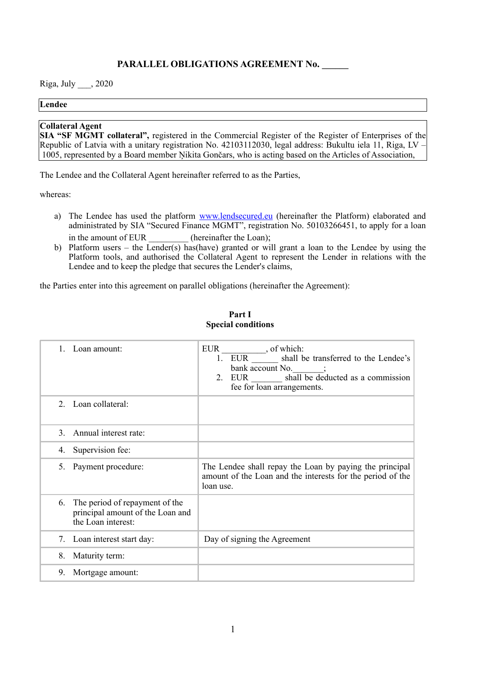# **PARALLEL OBLIGATIONS AGREEMENT No. \_\_\_\_\_\_**

Riga, July \_\_\_, 2020

#### **Lendee**

### **Collateral Agent**

**SIA "SF MGMT collateral",** registered in the Commercial Register of the Register of Enterprises of the Republic of Latvia with a unitary registration No. 42103112030, legal address: Bukultu iela 11, Riga, LV – 1005, represented by a Board member Ņikita Gončars, who is acting based on the Articles of Association,

The Lendee and the Collateral Agent hereinafter referred to as the Parties,

whereas:

- a) The Lendee has used the platform [www.lendsecured.eu](http://www.lendsecured.eu) (hereinafter the Platform) elaborated and administrated by SIA "Secured Finance MGMT", registration No. 50103266451, to apply for a loan in the amount of EUR \_\_\_\_\_\_\_\_\_\_ (hereinafter the Loan);
- b) Platform users the Lender(s) has(have) granted or will grant a loan to the Lendee by using the Platform tools, and authorised the Collateral Agent to represent the Lender in relations with the Lendee and to keep the pledge that secures the Lender's claims,

the Parties enter into this agreement on parallel obligations (hereinafter the Agreement):

|               | Loan amount:                                                                             | <b>EUR</b><br>, of which:<br>1. EUR<br>shall be transferred to the Lendee's<br>bank account $No.$ ;<br>2. EUR _______ shall be deducted as a commission<br>fee for loan arrangements. |
|---------------|------------------------------------------------------------------------------------------|---------------------------------------------------------------------------------------------------------------------------------------------------------------------------------------|
|               | 2. Loan collateral:                                                                      |                                                                                                                                                                                       |
| $\mathcal{E}$ | Annual interest rate:                                                                    |                                                                                                                                                                                       |
| 4.            | Supervision fee:                                                                         |                                                                                                                                                                                       |
| 5.            | Payment procedure:                                                                       | The Lendee shall repay the Loan by paying the principal<br>amount of the Loan and the interests for the period of the<br>loan use.                                                    |
| 6.            | The period of repayment of the<br>principal amount of the Loan and<br>the Loan interest: |                                                                                                                                                                                       |
| 7.            | Loan interest start day:                                                                 | Day of signing the Agreement                                                                                                                                                          |
| 8.            | Maturity term:                                                                           |                                                                                                                                                                                       |
| 9.            | Mortgage amount:                                                                         |                                                                                                                                                                                       |

### **Part I Special conditions**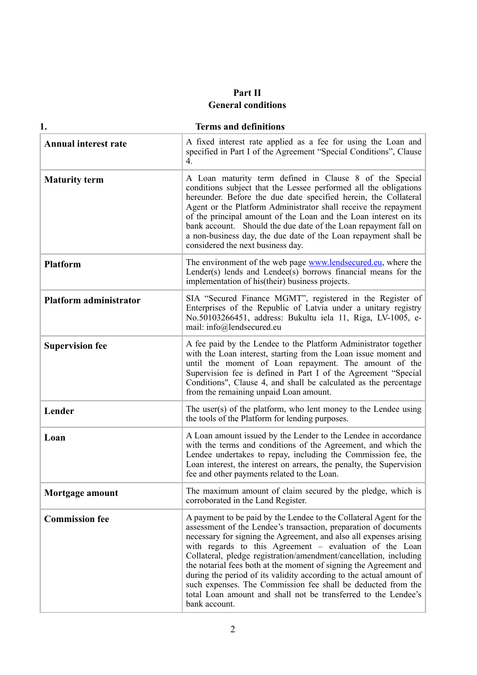# **Part II General conditions**

| 1.                            | <b>Terms and definitions</b>                                                                                                                                                                                                                                                                                                                                                                                                                                                                                                                                                                                                                |
|-------------------------------|---------------------------------------------------------------------------------------------------------------------------------------------------------------------------------------------------------------------------------------------------------------------------------------------------------------------------------------------------------------------------------------------------------------------------------------------------------------------------------------------------------------------------------------------------------------------------------------------------------------------------------------------|
| <b>Annual interest rate</b>   | A fixed interest rate applied as a fee for using the Loan and<br>specified in Part I of the Agreement "Special Conditions", Clause<br>4.                                                                                                                                                                                                                                                                                                                                                                                                                                                                                                    |
| <b>Maturity term</b>          | A Loan maturity term defined in Clause 8 of the Special<br>conditions subject that the Lessee performed all the obligations<br>hereunder. Before the due date specified herein, the Collateral<br>Agent or the Platform Administrator shall receive the repayment<br>of the principal amount of the Loan and the Loan interest on its<br>bank account. Should the due date of the Loan repayment fall on<br>a non-business day, the due date of the Loan repayment shall be<br>considered the next business day.                                                                                                                            |
| <b>Platform</b>               | The environment of the web page <b>www.lendsecured.eu</b> , where the<br>Lender(s) lends and Lendee(s) borrows financial means for the<br>implementation of his (their) business projects.                                                                                                                                                                                                                                                                                                                                                                                                                                                  |
| <b>Platform administrator</b> | SIA "Secured Finance MGMT", registered in the Register of<br>Enterprises of the Republic of Latvia under a unitary registry<br>No.50103266451, address: Bukultu iela 11, Riga, LV-1005, e-<br>mail: info@lendsecured.eu                                                                                                                                                                                                                                                                                                                                                                                                                     |
| <b>Supervision fee</b>        | A fee paid by the Lendee to the Platform Administrator together<br>with the Loan interest, starting from the Loan issue moment and<br>until the moment of Loan repayment. The amount of the<br>Supervision fee is defined in Part I of the Agreement "Special<br>Conditions", Clause 4, and shall be calculated as the percentage<br>from the remaining unpaid Loan amount.                                                                                                                                                                                                                                                                 |
| Lender                        | The user(s) of the platform, who lent money to the Lendee using<br>the tools of the Platform for lending purposes.                                                                                                                                                                                                                                                                                                                                                                                                                                                                                                                          |
| Loan                          | A Loan amount issued by the Lender to the Lendee in accordance<br>with the terms and conditions of the Agreement, and which the<br>Lendee undertakes to repay, including the Commission fee, the<br>Loan interest, the interest on arrears, the penalty, the Supervision<br>fee and other payments related to the Loan.                                                                                                                                                                                                                                                                                                                     |
| Mortgage amount               | The maximum amount of claim secured by the pledge, which is<br>corroborated in the Land Register.                                                                                                                                                                                                                                                                                                                                                                                                                                                                                                                                           |
| <b>Commission fee</b>         | A payment to be paid by the Lendee to the Collateral Agent for the<br>assessment of the Lendee's transaction, preparation of documents<br>necessary for signing the Agreement, and also all expenses arising<br>with regards to this Agreement – evaluation of the Loan<br>Collateral, pledge registration/amendment/cancellation, including<br>the notarial fees both at the moment of signing the Agreement and<br>during the period of its validity according to the actual amount of<br>such expenses. The Commission fee shall be deducted from the<br>total Loan amount and shall not be transferred to the Lendee's<br>bank account. |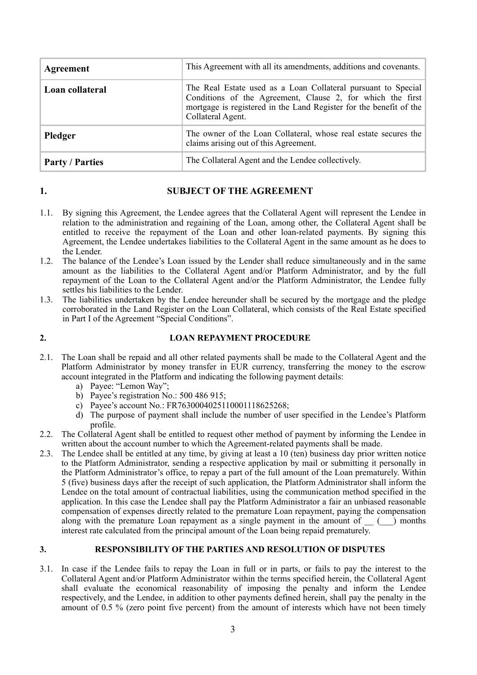| Agreement              | This Agreement with all its amendments, additions and covenants.                                                                                                                                                       |
|------------------------|------------------------------------------------------------------------------------------------------------------------------------------------------------------------------------------------------------------------|
| Loan collateral        | The Real Estate used as a Loan Collateral pursuant to Special<br>Conditions of the Agreement, Clause 2, for which the first<br>mortgage is registered in the Land Register for the benefit of the<br>Collateral Agent. |
| Pledger                | The owner of the Loan Collateral, whose real estate secures the<br>claims arising out of this Agreement.                                                                                                               |
| <b>Party / Parties</b> | The Collateral Agent and the Lendee collectively.                                                                                                                                                                      |

# **1. SUBJECT OF THE AGREEMENT**

- 1.1. By signing this Agreement, the Lendee agrees that the Collateral Agent will represent the Lendee in relation to the administration and regaining of the Loan, among other, the Collateral Agent shall be entitled to receive the repayment of the Loan and other loan-related payments. By signing this Agreement, the Lendee undertakes liabilities to the Collateral Agent in the same amount as he does to the Lender.
- 1.2. The balance of the Lendee's Loan issued by the Lender shall reduce simultaneously and in the same amount as the liabilities to the Collateral Agent and/or Platform Administrator, and by the full repayment of the Loan to the Collateral Agent and/or the Platform Administrator, the Lendee fully settles his liabilities to the Lender.
- 1.3. The liabilities undertaken by the Lendee hereunder shall be secured by the mortgage and the pledge corroborated in the Land Register on the Loan Collateral, which consists of the Real Estate specified in Part I of the Agreement "Special Conditions".

## **2. LOAN REPAYMENT PROCEDURE**

- 2.1. The Loan shall be repaid and all other related payments shall be made to the Collateral Agent and the Platform Administrator by money transfer in EUR currency, transferring the money to the escrow account integrated in the Platform and indicating the following payment details:
	- a) Payee: "Lemon Way";
	- b) Payee's registration No.: 500 486 915;
	- c) Payee's account No.: FR7630004025110001118625268;
	- d) The purpose of payment shall include the number of user specified in the Lendee's Platform profile.
- 2.2. The Collateral Agent shall be entitled to request other method of payment by informing the Lendee in written about the account number to which the Agreement-related payments shall be made.
- 2.3. The Lendee shall be entitled at any time, by giving at least a 10 (ten) business day prior written notice to the Platform Administrator, sending a respective application by mail or submitting it personally in the Platform Administrator's office, to repay a part of the full amount of the Loan prematurely. Within 5 (five) business days after the receipt of such application, the Platform Administrator shall inform the Lendee on the total amount of contractual liabilities, using the communication method specified in the application. In this case the Lendee shall pay the Platform Administrator a fair an unbiased reasonable compensation of expenses directly related to the premature Loan repayment, paying the compensation along with the premature Loan repayment as a single payment in the amount of  $\qquad$   $\qquad$  months interest rate calculated from the principal amount of the Loan being repaid prematurely.

### **3. RESPONSIBILITY OF THE PARTIES AND RESOLUTION OF DISPUTES**

3.1. In case if the Lendee fails to repay the Loan in full or in parts, or fails to pay the interest to the Collateral Agent and/or Platform Administrator within the terms specified herein, the Collateral Agent shall evaluate the economical reasonability of imposing the penalty and inform the Lendee respectively, and the Lendee, in addition to other payments defined herein, shall pay the penalty in the amount of 0.5 % (zero point five percent) from the amount of interests which have not been timely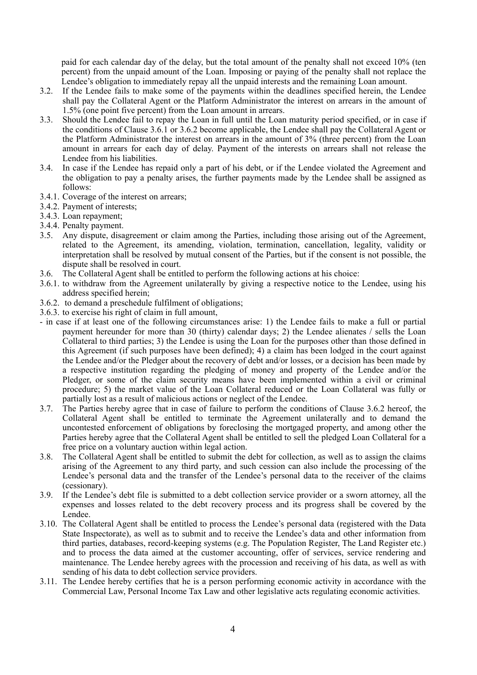paid for each calendar day of the delay, but the total amount of the penalty shall not exceed 10% (ten percent) from the unpaid amount of the Loan. Imposing or paying of the penalty shall not replace the Lendee's obligation to immediately repay all the unpaid interests and the remaining Loan amount.

- 3.2. If the Lendee fails to make some of the payments within the deadlines specified herein, the Lendee shall pay the Collateral Agent or the Platform Administrator the interest on arrears in the amount of 1.5% (one point five percent) from the Loan amount in arrears.
- 3.3. Should the Lendee fail to repay the Loan in full until the Loan maturity period specified, or in case if the conditions of Clause 3.6.1 or 3.6.2 become applicable, the Lendee shall pay the Collateral Agent or the Platform Administrator the interest on arrears in the amount of 3% (three percent) from the Loan amount in arrears for each day of delay. Payment of the interests on arrears shall not release the Lendee from his liabilities.
- 3.4. In case if the Lendee has repaid only a part of his debt, or if the Lendee violated the Agreement and the obligation to pay a penalty arises, the further payments made by the Lendee shall be assigned as follows:
- 3.4.1. Coverage of the interest on arrears;
- 3.4.2. Payment of interests;
- 3.4.3. Loan repayment;
- 3.4.4. Penalty payment.
- 3.5. Any dispute, disagreement or claim among the Parties, including those arising out of the Agreement, related to the Agreement, its amending, violation, termination, cancellation, legality, validity or interpretation shall be resolved by mutual consent of the Parties, but if the consent is not possible, the dispute shall be resolved in court.
- 3.6. The Collateral Agent shall be entitled to perform the following actions at his choice:
- 3.6.1. to withdraw from the Agreement unilaterally by giving a respective notice to the Lendee, using his address specified herein;
- 3.6.2. to demand a preschedule fulfilment of obligations;
- 3.6.3. to exercise his right of claim in full amount,
- in case if at least one of the following circumstances arise: 1) the Lendee fails to make a full or partial payment hereunder for more than 30 (thirty) calendar days; 2) the Lendee alienates / sells the Loan Collateral to third parties; 3) the Lendee is using the Loan for the purposes other than those defined in this Agreement (if such purposes have been defined); 4) a claim has been lodged in the court against the Lendee and/or the Pledger about the recovery of debt and/or losses, or a decision has been made by a respective institution regarding the pledging of money and property of the Lendee and/or the Pledger, or some of the claim security means have been implemented within a civil or criminal procedure; 5) the market value of the Loan Collateral reduced or the Loan Collateral was fully or partially lost as a result of malicious actions or neglect of the Lendee.
- 3.7. The Parties hereby agree that in case of failure to perform the conditions of Clause 3.6.2 hereof, the Collateral Agent shall be entitled to terminate the Agreement unilaterally and to demand the uncontested enforcement of obligations by foreclosing the mortgaged property, and among other the Parties hereby agree that the Collateral Agent shall be entitled to sell the pledged Loan Collateral for a free price on a voluntary auction within legal action.
- 3.8. The Collateral Agent shall be entitled to submit the debt for collection, as well as to assign the claims arising of the Agreement to any third party, and such cession can also include the processing of the Lendee's personal data and the transfer of the Lendee's personal data to the receiver of the claims (cessionary).
- 3.9. If the Lendee's debt file is submitted to a debt collection service provider or a sworn attorney, all the expenses and losses related to the debt recovery process and its progress shall be covered by the Lendee.
- 3.10. The Collateral Agent shall be entitled to process the Lendee's personal data (registered with the Data State Inspectorate), as well as to submit and to receive the Lendee's data and other information from third parties, databases, record-keeping systems (e.g. The Population Register, The Land Register etc.) and to process the data aimed at the customer accounting, offer of services, service rendering and maintenance. The Lendee hereby agrees with the procession and receiving of his data, as well as with sending of his data to debt collection service providers.
- 3.11. The Lendee hereby certifies that he is a person performing economic activity in accordance with the Commercial Law, Personal Income Tax Law and other legislative acts regulating economic activities.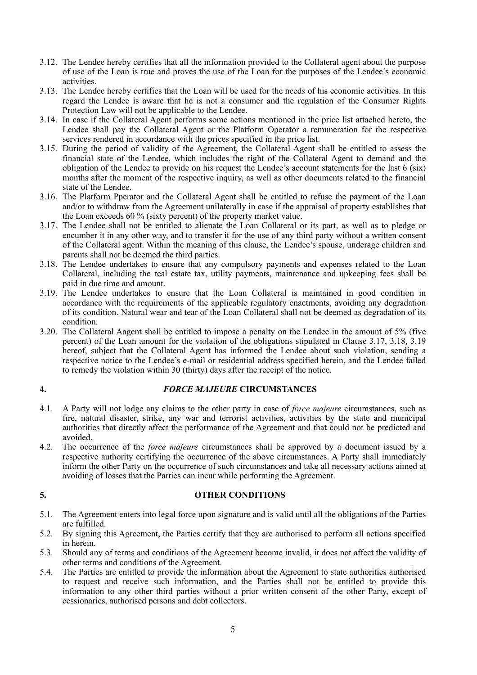- 3.12. The Lendee hereby certifies that all the information provided to the Collateral agent about the purpose of use of the Loan is true and proves the use of the Loan for the purposes of the Lendee's economic activities.
- 3.13. The Lendee hereby certifies that the Loan will be used for the needs of his economic activities. In this regard the Lendee is aware that he is not a consumer and the regulation of the Consumer Rights Protection Law will not be applicable to the Lendee.
- 3.14. In case if the Collateral Agent performs some actions mentioned in the price list attached hereto, the Lendee shall pay the Collateral Agent or the Platform Operator a remuneration for the respective services rendered in accordance with the prices specified in the price list.
- 3.15. During the period of validity of the Agreement, the Collateral Agent shall be entitled to assess the financial state of the Lendee, which includes the right of the Collateral Agent to demand and the obligation of the Lendee to provide on his request the Lendee's account statements for the last 6 (six) months after the moment of the respective inquiry, as well as other documents related to the financial state of the Lendee.
- 3.16. The Platform Pperator and the Collateral Agent shall be entitled to refuse the payment of the Loan and/or to withdraw from the Agreement unilaterally in case if the appraisal of property establishes that the Loan exceeds 60 % (sixty percent) of the property market value.
- 3.17. The Lendee shall not be entitled to alienate the Loan Collateral or its part, as well as to pledge or encumber it in any other way, and to transfer it for the use of any third party without a written consent of the Collateral agent. Within the meaning of this clause, the Lendee's spouse, underage children and parents shall not be deemed the third parties.
- 3.18. The Lendee undertakes to ensure that any compulsory payments and expenses related to the Loan Collateral, including the real estate tax, utility payments, maintenance and upkeeping fees shall be paid in due time and amount.
- 3.19. The Lendee undertakes to ensure that the Loan Collateral is maintained in good condition in accordance with the requirements of the applicable regulatory enactments, avoiding any degradation of its condition. Natural wear and tear of the Loan Collateral shall not be deemed as degradation of its condition.
- 3.20. The Collateral Aagent shall be entitled to impose a penalty on the Lendee in the amount of 5% (five percent) of the Loan amount for the violation of the obligations stipulated in Clause 3.17, 3.18, 3.19 hereof, subject that the Collateral Agent has informed the Lendee about such violation, sending a respective notice to the Lendee's e-mail or residential address specified herein, and the Lendee failed to remedy the violation within 30 (thirty) days after the receipt of the notice.

# **4.** *FORCE MAJEURE* **CIRCUMSTANCES**

- 4.1. A Party will not lodge any claims to the other party in case of *force majeure* circumstances, such as fire, natural disaster, strike, any war and terrorist activities, activities by the state and municipal authorities that directly affect the performance of the Agreement and that could not be predicted and avoided.
- 4.2. The occurrence of the *force majeure* circumstances shall be approved by a document issued by a respective authority certifying the occurrence of the above circumstances. A Party shall immediately inform the other Party on the occurrence of such circumstances and take all necessary actions aimed at avoiding of losses that the Parties can incur while performing the Agreement.

# **5. OTHER CONDITIONS**

- 5.1. The Agreement enters into legal force upon signature and is valid until all the obligations of the Parties are fulfilled.
- 5.2. By signing this Agreement, the Parties certify that they are authorised to perform all actions specified in herein.
- 5.3. Should any of terms and conditions of the Agreement become invalid, it does not affect the validity of other terms and conditions of the Agreement.
- 5.4. The Parties are entitled to provide the information about the Agreement to state authorities authorised to request and receive such information, and the Parties shall not be entitled to provide this information to any other third parties without a prior written consent of the other Party, except of cessionaries, authorised persons and debt collectors.